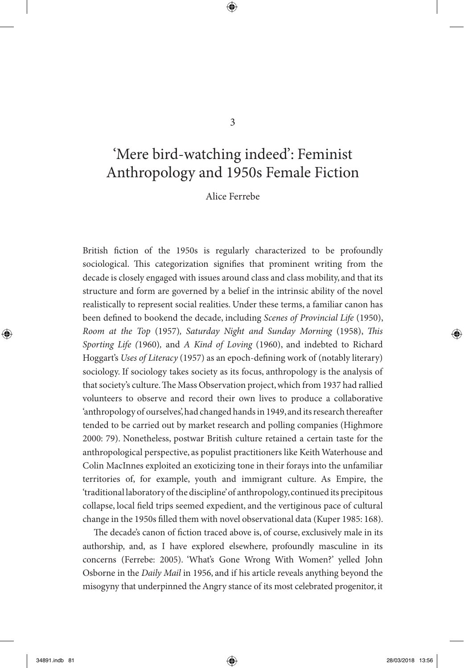# 'Mere bird-watching indeed': Feminist Anthropology and 1950s Female Fiction

Alice Ferrebe

British fiction of the 1950s is regularly characterized to be profoundly sociological. This categorization signifies that prominent writing from the decade is closely engaged with issues around class and class mobility, and that its structure and form are governed by a belief in the intrinsic ability of the novel realistically to represent social realities. Under these terms, a familiar canon has been defined to bookend the decade, including *Scenes of Provincial Life* (1950), *Room at the Top* (1957)*, Saturday Night and Sunday Morning* (1958), *This Sporting Life (*1960)*,* and *A Kind of Loving* (1960), and indebted to Richard Hoggart's *Uses of Literacy* (1957) as an epoch-defining work of (notably literary) sociology. If sociology takes society as its focus, anthropology is the analysis of that society's culture. The Mass Observation project, which from 1937 had rallied volunteers to observe and record their own lives to produce a collaborative 'anthropology of ourselves', had changed hands in 1949, and its research thereafter tended to be carried out by market research and polling companies (Highmore 2000: 79). Nonetheless, postwar British culture retained a certain taste for the anthropological perspective, as populist practitioners like Keith Waterhouse and Colin MacInnes exploited an exoticizing tone in their forays into the unfamiliar territories of, for example, youth and immigrant culture. As Empire, the 'traditional laboratory of the discipline' of anthropology, continued its precipitous collapse, local field trips seemed expedient, and the vertiginous pace of cultural change in the 1950s filled them with novel observational data (Kuper 1985: 168).

The decade's canon of fiction traced above is, of course, exclusively male in its authorship, and, as I have explored elsewhere, profoundly masculine in its concerns (Ferrebe: 2005). 'What's Gone Wrong With Women?' yelled John Osborne in the *Daily Mail* in 1956, and if his article reveals anything beyond the misogyny that underpinned the Angry stance of its most celebrated progenitor, it

◈

⊕

3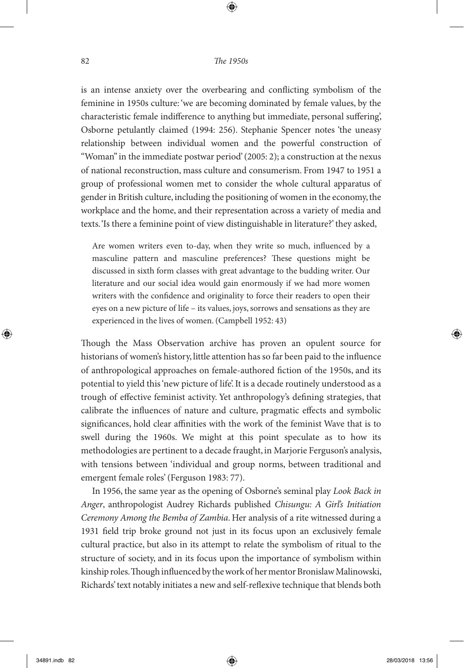⊕

is an intense anxiety over the overbearing and conflicting symbolism of the feminine in 1950s culture: 'we are becoming dominated by female values, by the characteristic female indifference to anything but immediate, personal suffering', Osborne petulantly claimed (1994: 256). Stephanie Spencer notes 'the uneasy relationship between individual women and the powerful construction of "Woman" in the immediate postwar period' (2005: 2); a construction at the nexus of national reconstruction, mass culture and consumerism. From 1947 to 1951 a group of professional women met to consider the whole cultural apparatus of gender in British culture, including the positioning of women in the economy, the workplace and the home, and their representation across a variety of media and texts. 'Is there a feminine point of view distinguishable in literature?' they asked,

Are women writers even to-day, when they write so much, influenced by a masculine pattern and masculine preferences? These questions might be discussed in sixth form classes with great advantage to the budding writer. Our literature and our social idea would gain enormously if we had more women writers with the confidence and originality to force their readers to open their eyes on a new picture of life – its values, joys, sorrows and sensations as they are experienced in the lives of women. (Campbell 1952: 43)

Though the Mass Observation archive has proven an opulent source for historians of women's history, little attention has so far been paid to the influence of anthropological approaches on female-authored fiction of the 1950s, and its potential to yield this 'new picture of life'. It is a decade routinely understood as a trough of effective feminist activity. Yet anthropology's defining strategies, that calibrate the influences of nature and culture, pragmatic effects and symbolic significances, hold clear affinities with the work of the feminist Wave that is to swell during the 1960s. We might at this point speculate as to how its methodologies are pertinent to a decade fraught, in Marjorie Ferguson's analysis, with tensions between 'individual and group norms, between traditional and emergent female roles' (Ferguson 1983: 77).

In 1956, the same year as the opening of Osborne's seminal play *Look Back in Anger*, anthropologist Audrey Richards published *Chisungu: A Girl's Initiation Ceremony Among the Bemba of Zambia*. Her analysis of a rite witnessed during a 1931 field trip broke ground not just in its focus upon an exclusively female cultural practice, but also in its attempt to relate the symbolism of ritual to the structure of society, and in its focus upon the importance of symbolism within kinship roles. Though influenced by the work of her mentor Bronislaw Malinowski, Richards' text notably initiates a new and self-reflexive technique that blends both

◈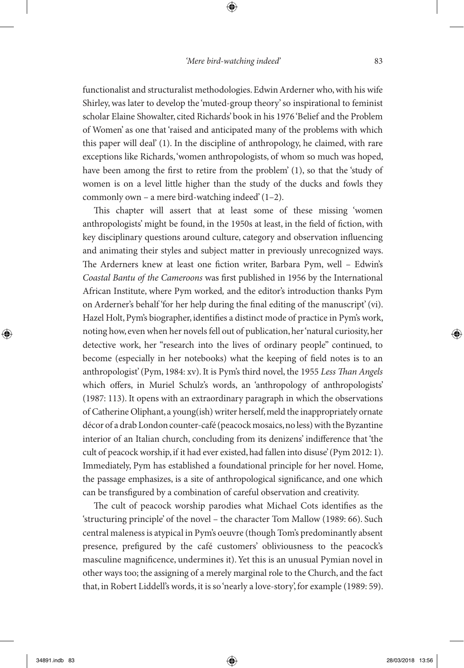⊕

functionalist and structuralist methodologies. Edwin Arderner who, with his wife Shirley, was later to develop the 'muted-group theory' so inspirational to feminist scholar Elaine Showalter, cited Richards' book in his 1976 'Belief and the Problem of Women' as one that 'raised and anticipated many of the problems with which this paper will deal' (1). In the discipline of anthropology, he claimed, with rare exceptions like Richards, 'women anthropologists, of whom so much was hoped, have been among the first to retire from the problem' (1), so that the 'study of women is on a level little higher than the study of the ducks and fowls they commonly own – a mere bird-watching indeed' (1–2).

This chapter will assert that at least some of these missing 'women anthropologists' might be found, in the 1950s at least, in the field of fiction, with key disciplinary questions around culture, category and observation influencing and animating their styles and subject matter in previously unrecognized ways. The Arderners knew at least one fiction writer, Barbara Pym, well – Edwin's *Coastal Bantu of the Cameroons* was first published in 1956 by the International African Institute, where Pym worked*,* and the editor's introduction thanks Pym on Arderner's behalf 'for her help during the final editing of the manuscript' (vi). Hazel Holt, Pym's biographer, identifies a distinct mode of practice in Pym's work, noting how, even when her novels fell out of publication, her 'natural curiosity, her detective work, her "research into the lives of ordinary people" continued, to become (especially in her notebooks) what the keeping of field notes is to an anthropologist' (Pym, 1984: xv). It is Pym's third novel, the 1955 *Less Than Angels* which offers, in Muriel Schulz's words, an 'anthropology of anthropologists' (1987: 113). It opens with an extraordinary paragraph in which the observations of Catherine Oliphant, a young(ish) writer herself, meld the inappropriately ornate décor of a drab London counter-café (peacock mosaics, no less) with the Byzantine interior of an Italian church, concluding from its denizens' indifference that 'the cult of peacock worship, if it had ever existed, had fallen into disuse' (Pym 2012: 1). Immediately, Pym has established a foundational principle for her novel. Home, the passage emphasizes, is a site of anthropological significance, and one which can be transfigured by a combination of careful observation and creativity.

The cult of peacock worship parodies what Michael Cots identifies as the 'structuring principle' of the novel – the character Tom Mallow (1989: 66). Such central maleness is atypical in Pym's oeuvre (though Tom's predominantly absent presence, prefigured by the café customers' obliviousness to the peacock's masculine magnificence, undermines it). Yet this is an unusual Pymian novel in other ways too; the assigning of a merely marginal role to the Church, and the fact that, in Robert Liddell's words, it is so 'nearly a love-story', for example (1989: 59).

◈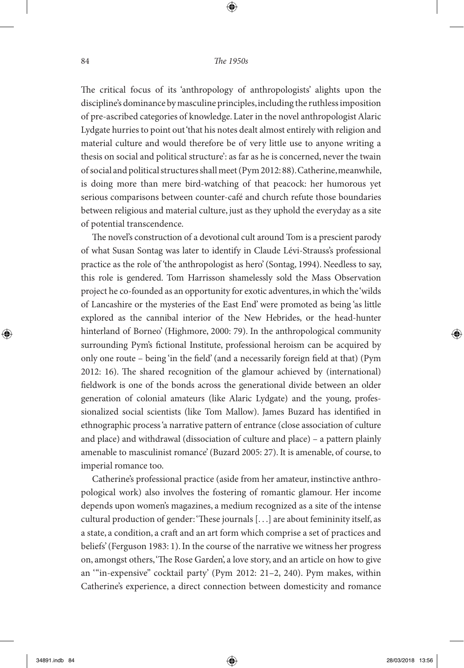⊕

The critical focus of its 'anthropology of anthropologists' alights upon the discipline's dominance by masculine principles, including the ruthless imposition of pre-ascribed categories of knowledge. Later in the novel anthropologist Alaric Lydgate hurries to point out 'that his notes dealt almost entirely with religion and material culture and would therefore be of very little use to anyone writing a thesis on social and political structure': as far as he is concerned, never the twain of social and political structures shall meet (Pym 2012: 88). Catherine, meanwhile, is doing more than mere bird-watching of that peacock: her humorous yet serious comparisons between counter-café and church refute those boundaries between religious and material culture, just as they uphold the everyday as a site of potential transcendence.

The novel's construction of a devotional cult around Tom is a prescient parody of what Susan Sontag was later to identify in Claude Lévi-Strauss's professional practice as the role of 'the anthropologist as hero' (Sontag, 1994). Needless to say, this role is gendered. Tom Harrisson shamelessly sold the Mass Observation project he co-founded as an opportunity for exotic adventures, in which the 'wilds of Lancashire or the mysteries of the East End' were promoted as being 'as little explored as the cannibal interior of the New Hebrides, or the head-hunter hinterland of Borneo' (Highmore, 2000: 79). In the anthropological community surrounding Pym's fictional Institute, professional heroism can be acquired by only one route – being 'in the field' (and a necessarily foreign field at that) (Pym 2012: 16). The shared recognition of the glamour achieved by (international) fieldwork is one of the bonds across the generational divide between an older generation of colonial amateurs (like Alaric Lydgate) and the young, professionalized social scientists (like Tom Mallow). James Buzard has identified in ethnographic process 'a narrative pattern of entrance (close association of culture and place) and withdrawal (dissociation of culture and place) – a pattern plainly amenable to masculinist romance' (Buzard 2005: 27). It is amenable, of course, to imperial romance too.

Catherine's professional practice (aside from her amateur, instinctive anthropological work) also involves the fostering of romantic glamour. Her income depends upon women's magazines, a medium recognized as a site of the intense cultural production of gender: 'These journals [. . .] are about femininity itself, as a state, a condition, a craft and an art form which comprise a set of practices and beliefs' (Ferguson 1983: 1). In the course of the narrative we witness her progress on, amongst others, 'The Rose Garden', a love story, and an article on how to give an '"in-expensive" cocktail party' (Pym 2012: 21–2, 240). Pym makes, within Catherine's experience, a direct connection between domesticity and romance

◈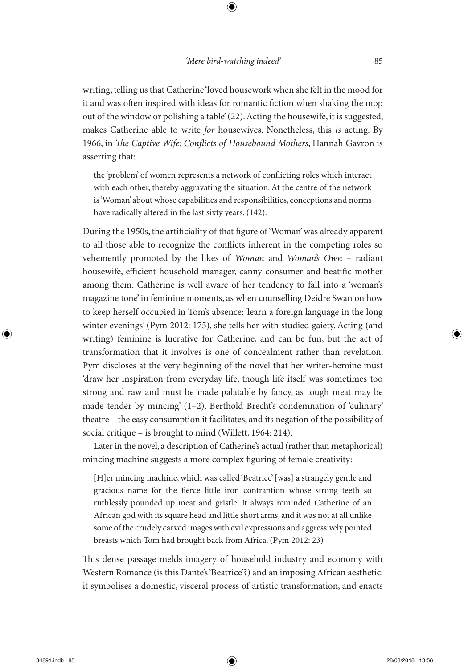⊕

writing, telling us that Catherine 'loved housework when she felt in the mood for it and was often inspired with ideas for romantic fiction when shaking the mop out of the window or polishing a table' (22). Acting the housewife, it is suggested, makes Catherine able to write *for* housewives. Nonetheless, this *is* acting. By 1966, in *The Captive Wife: Conflicts of Housebound Mothers*, Hannah Gavron is asserting that:

the 'problem' of women represents a network of conflicting roles which interact with each other, thereby aggravating the situation. At the centre of the network is 'Woman' about whose capabilities and responsibilities, conceptions and norms have radically altered in the last sixty years. (142).

During the 1950s, the artificiality of that figure of 'Woman' was already apparent to all those able to recognize the conflicts inherent in the competing roles so vehemently promoted by the likes of *Woman* and *Woman's Own* – radiant housewife, efficient household manager, canny consumer and beatific mother among them. Catherine is well aware of her tendency to fall into a 'woman's magazine tone' in feminine moments, as when counselling Deidre Swan on how to keep herself occupied in Tom's absence: 'learn a foreign language in the long winter evenings' (Pym 2012: 175), she tells her with studied gaiety. Acting (and writing) feminine is lucrative for Catherine, and can be fun, but the act of transformation that it involves is one of concealment rather than revelation. Pym discloses at the very beginning of the novel that her writer-heroine must 'draw her inspiration from everyday life, though life itself was sometimes too strong and raw and must be made palatable by fancy, as tough meat may be made tender by mincing' (1–2). Berthold Brecht's condemnation of 'culinary' theatre – the easy consumption it facilitates, and its negation of the possibility of social critique – is brought to mind (Willett, 1964: 214).

Later in the novel, a description of Catherine's actual (rather than metaphorical) mincing machine suggests a more complex figuring of female creativity:

[H]er mincing machine, which was called 'Beatrice' [was] a strangely gentle and gracious name for the fierce little iron contraption whose strong teeth so ruthlessly pounded up meat and gristle. It always reminded Catherine of an African god with its square head and little short arms, and it was not at all unlike some of the crudely carved images with evil expressions and aggressively pointed breasts which Tom had brought back from Africa. (Pym 2012: 23)

This dense passage melds imagery of household industry and economy with Western Romance (is this Dante's 'Beatrice'?) and an imposing African aesthetic: it symbolises a domestic, visceral process of artistic transformation, and enacts

◈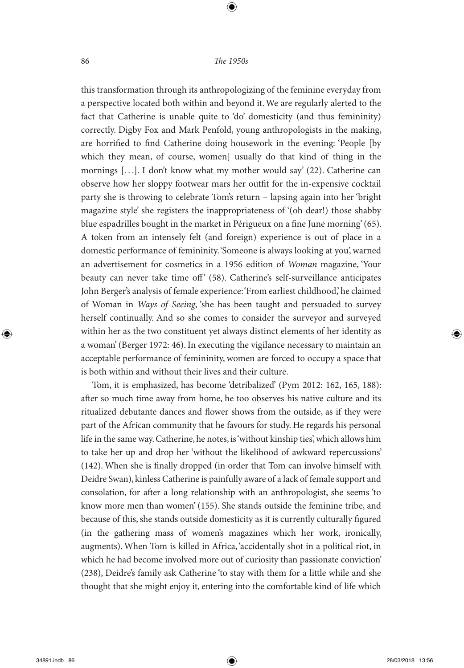⊕

this transformation through its anthropologizing of the feminine everyday from a perspective located both within and beyond it. We are regularly alerted to the fact that Catherine is unable quite to 'do' domesticity (and thus femininity) correctly. Digby Fox and Mark Penfold, young anthropologists in the making, are horrified to find Catherine doing housework in the evening: 'People [by which they mean, of course, women] usually do that kind of thing in the mornings [. . .]. I don't know what my mother would say' (22). Catherine can observe how her sloppy footwear mars her outfit for the in-expensive cocktail party she is throwing to celebrate Tom's return – lapsing again into her 'bright magazine style' she registers the inappropriateness of '(oh dear!) those shabby blue espadrilles bought in the market in Périgueux on a fine June morning' (65). A token from an intensely felt (and foreign) experience is out of place in a domestic performance of femininity. 'Someone is always looking at you', warned an advertisement for cosmetics in a 1956 edition of *Woman* magazine, 'Your beauty can never take time off' (58). Catherine's self-surveillance anticipates John Berger's analysis of female experience: 'From earliest childhood,' he claimed of Woman in *Ways of Seeing*, 'she has been taught and persuaded to survey herself continually. And so she comes to consider the surveyor and surveyed within her as the two constituent yet always distinct elements of her identity as a woman' (Berger 1972: 46). In executing the vigilance necessary to maintain an acceptable performance of femininity, women are forced to occupy a space that is both within and without their lives and their culture.

Tom, it is emphasized, has become 'detribalized' (Pym 2012: 162, 165, 188): after so much time away from home, he too observes his native culture and its ritualized debutante dances and flower shows from the outside, as if they were part of the African community that he favours for study. He regards his personal life in the same way. Catherine, he notes, is 'without kinship ties', which allows him to take her up and drop her 'without the likelihood of awkward repercussions' (142). When she is finally dropped (in order that Tom can involve himself with Deidre Swan), kinless Catherine is painfully aware of a lack of female support and consolation, for after a long relationship with an anthropologist, she seems 'to know more men than women' (155). She stands outside the feminine tribe, and because of this, she stands outside domesticity as it is currently culturally figured (in the gathering mass of women's magazines which her work, ironically, augments). When Tom is killed in Africa, 'accidentally shot in a political riot, in which he had become involved more out of curiosity than passionate conviction' (238), Deidre's family ask Catherine 'to stay with them for a little while and she thought that she might enjoy it, entering into the comfortable kind of life which

◈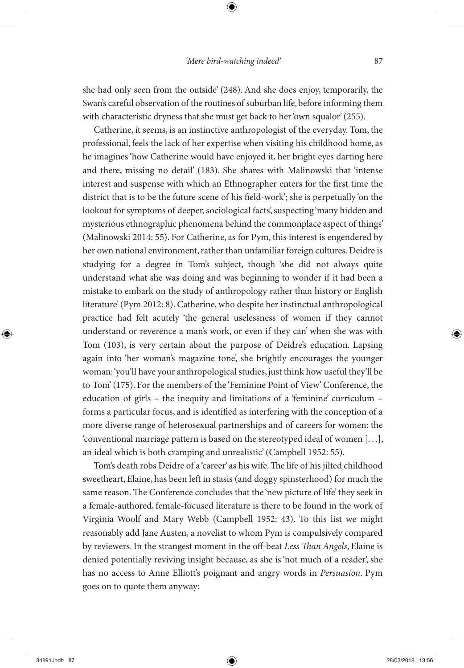she had only seen from the outside' (248). And she does enjoy, temporarily, the Swan's careful observation of the routines of suburban life, before informing them with characteristic dryness that she must get back to her 'own squalor' (255).

Catherine, it seems, is an instinctive anthropologist of the everyday. Tom, the professional, feels the lack of her expertise when visiting his childhood home, as he imagines 'how Catherine would have enjoyed it, her bright eyes darting here and there, missing no detail' (183). She shares with Malinowski that 'intense interest and suspense with which an Ethnographer enters for the first time the district that is to be the future scene of his field-work'; she is perpetually 'on the lookout for symptoms of deeper, sociological facts', suspecting 'many hidden and mysterious ethnographic phenomena behind the commonplace aspect of things' (Malinowski 2014: 55). For Catherine, as for Pym, this interest is engendered by her own national environment, rather than unfamiliar foreign cultures. Deidre is studying for a degree in Tom's subject, though 'she did not always quite understand what she was doing and was beginning to wonder if it had been a mistake to embark on the study of anthropology rather than history or English literature' (Pym 2012: 8). Catherine, who despite her instinctual anthropological practice had felt acutely 'the general uselessness of women if they cannot understand or reverence a man's work, or even if they can' when she was with Tom (103), is very certain about the purpose of Deidre's education. Lapsing again into 'her woman's magazine tone', she brightly encourages the younger woman: 'you'll have your anthropological studies, just think how useful they'll be to Tom' (175). For the members of the 'Feminine Point of View' Conference, the education of girls – the inequity and limitations of a 'feminine' curriculum – forms a particular focus, and is identified as interfering with the conception of a more diverse range of heterosexual partnerships and of careers for women: the 'conventional marriage pattern is based on the stereotyped ideal of women [. . .], an ideal which is both cramping and unrealistic' (Campbell 1952: 55).

Tom's death robs Deidre of a 'career' as his wife. The life of his jilted childhood sweetheart, Elaine, has been left in stasis (and doggy spinsterhood) for much the same reason. The Conference concludes that the 'new picture of life' they seek in a female-authored, female-focused literature is there to be found in the work of Virginia Woolf and Mary Webb (Campbell 1952: 43). To this list we might reasonably add Jane Austen, a novelist to whom Pym is compulsively compared by reviewers. In the strangest moment in the off-beat *Less Than Angels*, Elaine is denied potentially reviving insight because, as she is 'not much of a reader', she has no access to Anne Elliott's poignant and angry words in *Persuasion*. Pym goes on to quote them anyway:

◈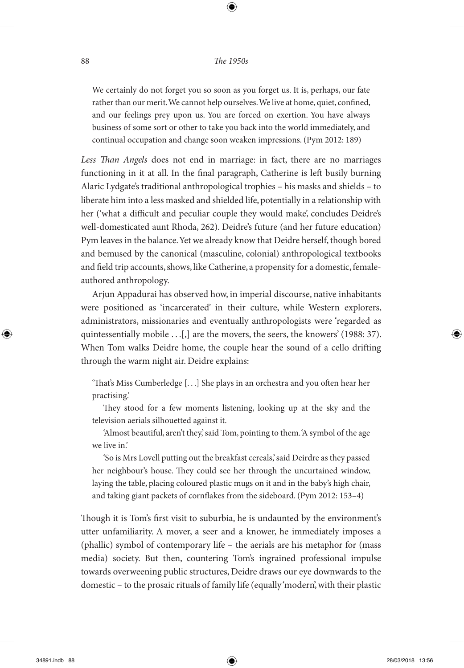⊕

We certainly do not forget you so soon as you forget us. It is, perhaps, our fate rather than our merit. We cannot help ourselves. We live at home, quiet, confined, and our feelings prey upon us. You are forced on exertion. You have always business of some sort or other to take you back into the world immediately, and continual occupation and change soon weaken impressions. (Pym 2012: 189)

*Less Than Angels* does not end in marriage: in fact, there are no marriages functioning in it at all. In the final paragraph, Catherine is left busily burning Alaric Lydgate's traditional anthropological trophies – his masks and shields – to liberate him into a less masked and shielded life, potentially in a relationship with her ('what a difficult and peculiar couple they would make', concludes Deidre's well-domesticated aunt Rhoda, 262). Deidre's future (and her future education) Pym leaves in the balance. Yet we already know that Deidre herself, though bored and bemused by the canonical (masculine, colonial) anthropological textbooks and field trip accounts, shows, like Catherine, a propensity for a domestic, femaleauthored anthropology.

Arjun Appadurai has observed how, in imperial discourse, native inhabitants were positioned as 'incarcerated' in their culture, while Western explorers, administrators, missionaries and eventually anthropologists were 'regarded as quintessentially mobile . . . [,] are the movers, the seers, the knowers' (1988: 37). When Tom walks Deidre home, the couple hear the sound of a cello drifting through the warm night air. Deidre explains:

'That's Miss Cumberledge [. . .] She plays in an orchestra and you often hear her practising.'

They stood for a few moments listening, looking up at the sky and the television aerials silhouetted against it.

'Almost beautiful, aren't they,' said Tom, pointing to them. 'A symbol of the age we live in.'

'So is Mrs Lovell putting out the breakfast cereals,' said Deirdre as they passed her neighbour's house. They could see her through the uncurtained window, laying the table, placing coloured plastic mugs on it and in the baby's high chair, and taking giant packets of cornflakes from the sideboard. (Pym 2012: 153–4)

Though it is Tom's first visit to suburbia, he is undaunted by the environment's utter unfamiliarity. A mover, a seer and a knower, he immediately imposes a (phallic) symbol of contemporary life – the aerials are his metaphor for (mass media) society. But then, countering Tom's ingrained professional impulse towards overweening public structures, Deidre draws our eye downwards to the domestic – to the prosaic rituals of family life (equally 'modern', with their plastic

◈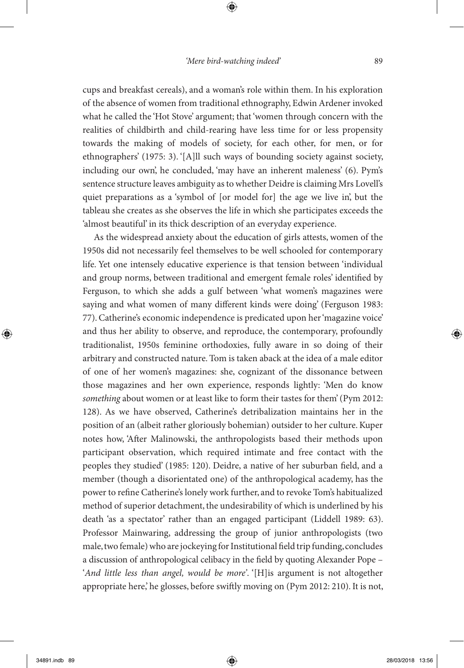⊕

cups and breakfast cereals), and a woman's role within them. In his exploration of the absence of women from traditional ethnography, Edwin Ardener invoked what he called the 'Hot Stove' argument; that 'women through concern with the realities of childbirth and child-rearing have less time for or less propensity towards the making of models of society, for each other, for men, or for ethnographers' (1975: 3). '[A]ll such ways of bounding society against society, including our own', he concluded, 'may have an inherent maleness' (6). Pym's sentence structure leaves ambiguity as to whether Deidre is claiming Mrs Lovell's quiet preparations as a 'symbol of [or model for] the age we live in', but the tableau she creates as she observes the life in which she participates exceeds the 'almost beautiful' in its thick description of an everyday experience.

As the widespread anxiety about the education of girls attests, women of the 1950s did not necessarily feel themselves to be well schooled for contemporary life. Yet one intensely educative experience is that tension between 'individual and group norms, between traditional and emergent female roles' identified by Ferguson, to which she adds a gulf between 'what women's magazines were saying and what women of many different kinds were doing' (Ferguson 1983: 77). Catherine's economic independence is predicated upon her 'magazine voice' and thus her ability to observe, and reproduce, the contemporary, profoundly traditionalist, 1950s feminine orthodoxies, fully aware in so doing of their arbitrary and constructed nature. Tom is taken aback at the idea of a male editor of one of her women's magazines: she, cognizant of the dissonance between those magazines and her own experience, responds lightly: 'Men do know *something* about women or at least like to form their tastes for them' (Pym 2012: 128). As we have observed, Catherine's detribalization maintains her in the position of an (albeit rather gloriously bohemian) outsider to her culture. Kuper notes how, 'After Malinowski, the anthropologists based their methods upon participant observation, which required intimate and free contact with the peoples they studied' (1985: 120). Deidre, a native of her suburban field, and a member (though a disorientated one) of the anthropological academy, has the power to refine Catherine's lonely work further, and to revoke Tom's habitualized method of superior detachment, the undesirability of which is underlined by his death 'as a spectator' rather than an engaged participant (Liddell 1989: 63). Professor Mainwaring, addressing the group of junior anthropologists (two male, two female) who are jockeying for Institutional field trip funding, concludes a discussion of anthropological celibacy in the field by quoting Alexander Pope – '*And little less than angel, would be more'*. '[H]is argument is not altogether appropriate here,' he glosses, before swiftly moving on (Pym 2012: 210). It is not,

◈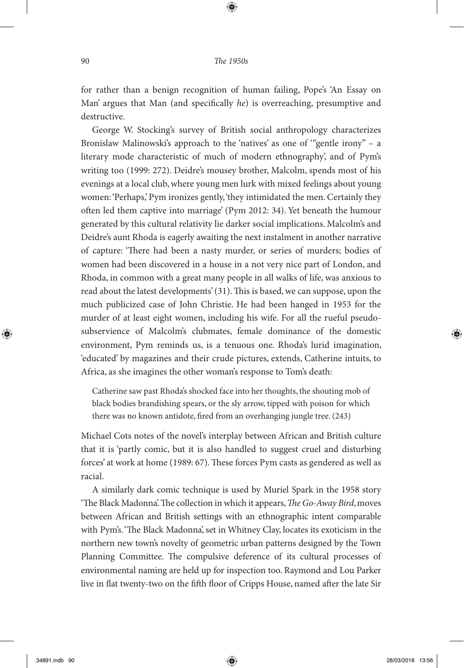for rather than a benign recognition of human failing, Pope's 'An Essay on Man' argues that Man (and specifically *he*) is overreaching, presumptive and destructive.

George W. Stocking's survey of British social anthropology characterizes Bronislaw Malinowski's approach to the 'natives' as one of '"gentle irony" – a literary mode characteristic of much of modern ethnography', and of Pym's writing too (1999: 272). Deidre's mousey brother, Malcolm, spends most of his evenings at a local club, where young men lurk with mixed feelings about young women: 'Perhaps,' Pym ironizes gently, 'they intimidated the men. Certainly they often led them captive into marriage' (Pym 2012: 34). Yet beneath the humour generated by this cultural relativity lie darker social implications. Malcolm's and Deidre's aunt Rhoda is eagerly awaiting the next instalment in another narrative of capture: 'There had been a nasty murder, or series of murders; bodies of women had been discovered in a house in a not very nice part of London, and Rhoda, in common with a great many people in all walks of life, was anxious to read about the latest developments' (31). This is based, we can suppose, upon the much publicized case of John Christie. He had been hanged in 1953 for the murder of at least eight women, including his wife. For all the rueful pseudosubservience of Malcolm's clubmates, female dominance of the domestic environment, Pym reminds us, is a tenuous one. Rhoda's lurid imagination, 'educated' by magazines and their crude pictures, extends, Catherine intuits, to Africa, as she imagines the other woman's response to Tom's death:

Catherine saw past Rhoda's shocked face into her thoughts, the shouting mob of black bodies brandishing spears, or the sly arrow, tipped with poison for which there was no known antidote, fired from an overhanging jungle tree. (243)

Michael Cots notes of the novel's interplay between African and British culture that it is 'partly comic, but it is also handled to suggest cruel and disturbing forces' at work at home (1989: 67). These forces Pym casts as gendered as well as racial.

A similarly dark comic technique is used by Muriel Spark in the 1958 story 'The Black Madonna'. The collection in which it appears, *The Go-Away Bird*, moves between African and British settings with an ethnographic intent comparable with Pym's. 'The Black Madonna', set in Whitney Clay, locates its exoticism in the northern new town's novelty of geometric urban patterns designed by the Town Planning Committee. The compulsive deference of its cultural processes of environmental naming are held up for inspection too. Raymond and Lou Parker live in flat twenty-two on the fifth floor of Cripps House, named after the late Sir

◈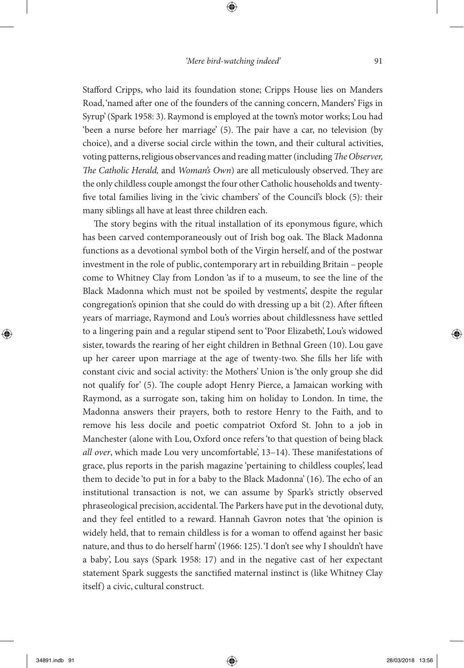⊕

Stafford Cripps, who laid its foundation stone; Cripps House lies on Manders Road, 'named after one of the founders of the canning concern, Manders' Figs in Syrup' (Spark 1958: 3). Raymond is employed at the town's motor works; Lou had 'been a nurse before her marriage' (5). The pair have a car, no television (by choice), and a diverse social circle within the town, and their cultural activities, voting patterns, religious observances and reading matter (including *The Observer, The Catholic Herald,* and *Woman's Own*) are all meticulously observed. They are the only childless couple amongst the four other Catholic households and twentyfive total families living in the 'civic chambers' of the Council's block (5): their many siblings all have at least three children each.

The story begins with the ritual installation of its eponymous figure, which has been carved contemporaneously out of Irish bog oak. The Black Madonna functions as a devotional symbol both of the Virgin herself, and of the postwar investment in the role of public, contemporary art in rebuilding Britain – people come to Whitney Clay from London 'as if to a museum, to see the line of the Black Madonna which must not be spoiled by vestments', despite the regular congregation's opinion that she could do with dressing up a bit (2). After fifteen years of marriage, Raymond and Lou's worries about childlessness have settled to a lingering pain and a regular stipend sent to 'Poor Elizabeth', Lou's widowed sister, towards the rearing of her eight children in Bethnal Green (10). Lou gave up her career upon marriage at the age of twenty-two. She fills her life with constant civic and social activity: the Mothers' Union is 'the only group she did not qualify for' (5). The couple adopt Henry Pierce, a Jamaican working with Raymond, as a surrogate son, taking him on holiday to London. In time, the Madonna answers their prayers, both to restore Henry to the Faith, and to remove his less docile and poetic compatriot Oxford St. John to a job in Manchester (alone with Lou, Oxford once refers 'to that question of being black *all over*, which made Lou very uncomfortable', 13–14). These manifestations of grace, plus reports in the parish magazine 'pertaining to childless couples', lead them to decide 'to put in for a baby to the Black Madonna' (16). The echo of an institutional transaction is not, we can assume by Spark's strictly observed phraseological precision, accidental. The Parkers have put in the devotional duty, and they feel entitled to a reward. Hannah Gavron notes that 'the opinion is widely held, that to remain childless is for a woman to offend against her basic nature, and thus to do herself harm' (1966: 125). 'I don't see why I shouldn't have a baby', Lou says (Spark 1958: 17) and in the negative cast of her expectant statement Spark suggests the sanctified maternal instinct is (like Whitney Clay itself) a civic, cultural construct.

◈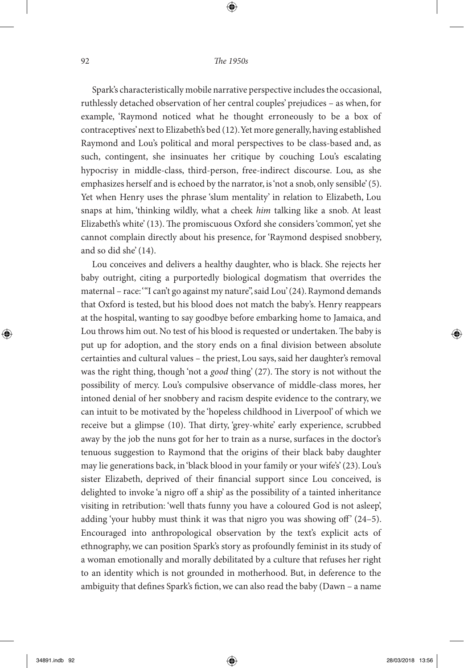⊕

Spark's characteristically mobile narrative perspective includes the occasional, ruthlessly detached observation of her central couples' prejudices – as when, for example, 'Raymond noticed what he thought erroneously to be a box of contraceptives' next to Elizabeth's bed (12). Yet more generally, having established Raymond and Lou's political and moral perspectives to be class-based and, as such, contingent, she insinuates her critique by couching Lou's escalating hypocrisy in middle-class, third-person, free-indirect discourse. Lou, as she emphasizes herself and is echoed by the narrator, is 'not a snob, only sensible' (5). Yet when Henry uses the phrase 'slum mentality' in relation to Elizabeth, Lou snaps at him, 'thinking wildly, what a cheek *him* talking like a snob. At least Elizabeth's white' (13). The promiscuous Oxford she considers 'common', yet she cannot complain directly about his presence, for 'Raymond despised snobbery, and so did she' (14).

Lou conceives and delivers a healthy daughter, who is black. She rejects her baby outright, citing a purportedly biological dogmatism that overrides the maternal – race: '"I can't go against my nature", said Lou' (24). Raymond demands that Oxford is tested, but his blood does not match the baby's. Henry reappears at the hospital, wanting to say goodbye before embarking home to Jamaica, and Lou throws him out. No test of his blood is requested or undertaken. The baby is put up for adoption, and the story ends on a final division between absolute certainties and cultural values – the priest, Lou says, said her daughter's removal was the right thing, though 'not a *good* thing' (27). The story is not without the possibility of mercy. Lou's compulsive observance of middle-class mores, her intoned denial of her snobbery and racism despite evidence to the contrary, we can intuit to be motivated by the 'hopeless childhood in Liverpool' of which we receive but a glimpse (10). That dirty, 'grey-white' early experience, scrubbed away by the job the nuns got for her to train as a nurse, surfaces in the doctor's tenuous suggestion to Raymond that the origins of their black baby daughter may lie generations back, in 'black blood in your family or your wife's' (23). Lou's sister Elizabeth, deprived of their financial support since Lou conceived, is delighted to invoke 'a nigro off a ship' as the possibility of a tainted inheritance visiting in retribution: 'well thats funny you have a coloured God is not asleep', adding 'your hubby must think it was that nigro you was showing off' (24–5). Encouraged into anthropological observation by the text's explicit acts of ethnography, we can position Spark's story as profoundly feminist in its study of a woman emotionally and morally debilitated by a culture that refuses her right to an identity which is not grounded in motherhood. But, in deference to the ambiguity that defines Spark's fiction, we can also read the baby (Dawn – a name

◈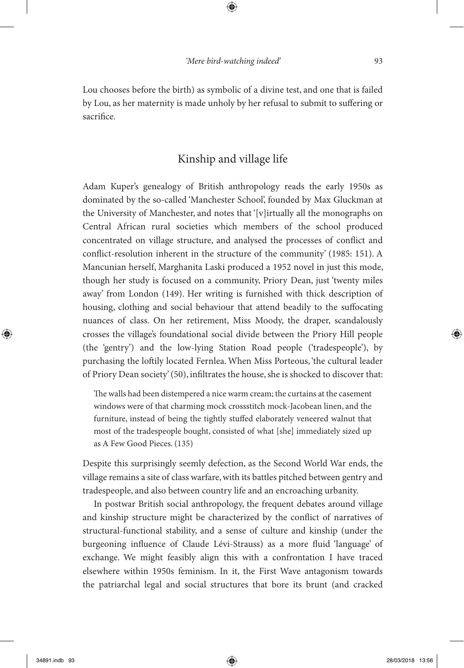Lou chooses before the birth) as symbolic of a divine test, and one that is failed by Lou, as her maternity is made unholy by her refusal to submit to suffering or sacrifice.

## Kinship and village life

Adam Kuper's genealogy of British anthropology reads the early 1950s as dominated by the so-called 'Manchester School', founded by Max Gluckman at the University of Manchester, and notes that '[v]irtually all the monographs on Central African rural societies which members of the school produced concentrated on village structure, and analysed the processes of conflict and conflict-resolution inherent in the structure of the community' (1985: 151). A Mancunian herself, Marghanita Laski produced a 1952 novel in just this mode, though her study is focused on a community, Priory Dean, just 'twenty miles away' from London (149). Her writing is furnished with thick description of housing, clothing and social behaviour that attend beadily to the suffocating nuances of class. On her retirement, Miss Moody, the draper, scandalously crosses the village's foundational social divide between the Priory Hill people (the 'gentry') and the low-lying Station Road people ('tradespeople'), by purchasing the loftily located Fernlea. When Miss Porteous, 'the cultural leader of Priory Dean society' (50), infiltrates the house, she is shocked to discover that:

The walls had been distempered a nice warm cream; the curtains at the casement windows were of that charming mock crossstitch mock-Jacobean linen, and the furniture, instead of being the tightly stuffed elaborately veneered walnut that most of the tradespeople bought, consisted of what [she] immediately sized up as A Few Good Pieces. (135)

Despite this surprisingly seemly defection, as the Second World War ends, the village remains a site of class warfare, with its battles pitched between gentry and tradespeople, and also between country life and an encroaching urbanity.

In postwar British social anthropology, the frequent debates around village and kinship structure might be characterized by the conflict of narratives of structural-functional stability, and a sense of culture and kinship (under the burgeoning influence of Claude Lévi-Strauss) as a more fluid 'language' of exchange. We might feasibly align this with a confrontation I have traced elsewhere within 1950s feminism. In it, the First Wave antagonism towards the patriarchal legal and social structures that bore its brunt (and cracked

◈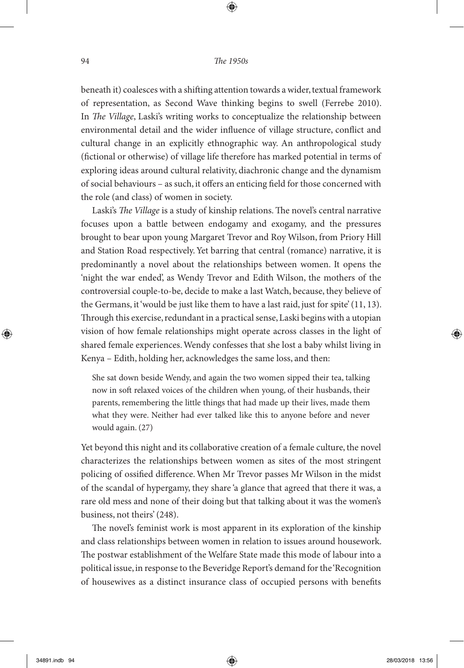⊕

beneath it) coalesces with a shifting attention towards a wider, textual framework of representation, as Second Wave thinking begins to swell (Ferrebe 2010). In *The Village*, Laski's writing works to conceptualize the relationship between environmental detail and the wider influence of village structure, conflict and cultural change in an explicitly ethnographic way. An anthropological study (fictional or otherwise) of village life therefore has marked potential in terms of exploring ideas around cultural relativity, diachronic change and the dynamism of social behaviours – as such, it offers an enticing field for those concerned with the role (and class) of women in society.

Laski's *The Village* is a study of kinship relations. The novel's central narrative focuses upon a battle between endogamy and exogamy, and the pressures brought to bear upon young Margaret Trevor and Roy Wilson, from Priory Hill and Station Road respectively. Yet barring that central (romance) narrative, it is predominantly a novel about the relationships between women. It opens the 'night the war ended', as Wendy Trevor and Edith Wilson, the mothers of the controversial couple-to-be, decide to make a last Watch, because, they believe of the Germans, it 'would be just like them to have a last raid, just for spite' (11, 13). Through this exercise, redundant in a practical sense, Laski begins with a utopian vision of how female relationships might operate across classes in the light of shared female experiences. Wendy confesses that she lost a baby whilst living in Kenya – Edith, holding her, acknowledges the same loss, and then:

She sat down beside Wendy, and again the two women sipped their tea, talking now in soft relaxed voices of the children when young, of their husbands, their parents, remembering the little things that had made up their lives, made them what they were. Neither had ever talked like this to anyone before and never would again. (27)

Yet beyond this night and its collaborative creation of a female culture, the novel characterizes the relationships between women as sites of the most stringent policing of ossified difference. When Mr Trevor passes Mr Wilson in the midst of the scandal of hypergamy, they share 'a glance that agreed that there it was, a rare old mess and none of their doing but that talking about it was the women's business, not theirs' (248).

The novel's feminist work is most apparent in its exploration of the kinship and class relationships between women in relation to issues around housework. The postwar establishment of the Welfare State made this mode of labour into a political issue, in response to the Beveridge Report's demand for the 'Recognition of housewives as a distinct insurance class of occupied persons with benefits

◈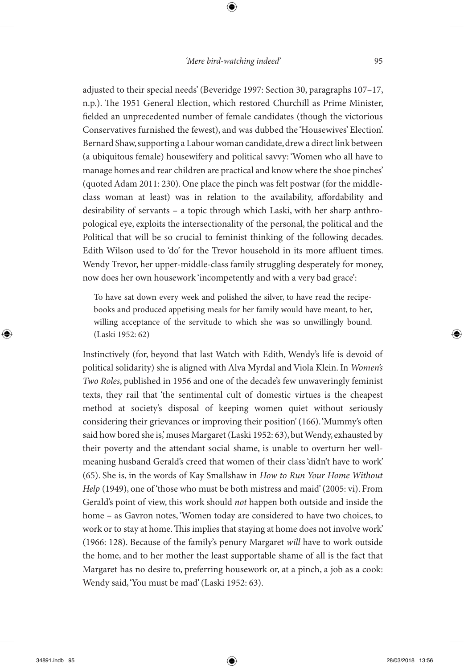⊕

adjusted to their special needs' (Beveridge 1997: Section 30, paragraphs 107–17, n.p.). The 1951 General Election, which restored Churchill as Prime Minister, fielded an unprecedented number of female candidates (though the victorious Conservatives furnished the fewest), and was dubbed the 'Housewives' Election'. Bernard Shaw, supporting a Labour woman candidate, drew a direct link between (a ubiquitous female) housewifery and political savvy: 'Women who all have to manage homes and rear children are practical and know where the shoe pinches' (quoted Adam 2011: 230). One place the pinch was felt postwar (for the middleclass woman at least) was in relation to the availability, affordability and desirability of servants – a topic through which Laski, with her sharp anthropological eye, exploits the intersectionality of the personal, the political and the Political that will be so crucial to feminist thinking of the following decades. Edith Wilson used to 'do' for the Trevor household in its more affluent times. Wendy Trevor, her upper-middle-class family struggling desperately for money, now does her own housework 'incompetently and with a very bad grace':

To have sat down every week and polished the silver, to have read the recipebooks and produced appetising meals for her family would have meant, to her, willing acceptance of the servitude to which she was so unwillingly bound. (Laski 1952: 62)

Instinctively (for, beyond that last Watch with Edith, Wendy's life is devoid of political solidarity) she is aligned with Alva Myrdal and Viola Klein. In *Women's Two Roles*, published in 1956 and one of the decade's few unwaveringly feminist texts, they rail that 'the sentimental cult of domestic virtues is the cheapest method at society's disposal of keeping women quiet without seriously considering their grievances or improving their position' (166). 'Mummy's often said how bored she is,' muses Margaret (Laski 1952: 63), but Wendy, exhausted by their poverty and the attendant social shame, is unable to overturn her wellmeaning husband Gerald's creed that women of their class 'didn't have to work' (65). She is, in the words of Kay Smallshaw in *How to Run Your Home Without Help* (1949), one of 'those who must be both mistress and maid' (2005: vi). From Gerald's point of view, this work should *not* happen both outside and inside the home – as Gavron notes, 'Women today are considered to have two choices, to work or to stay at home. This implies that staying at home does not involve work' (1966: 128). Because of the family's penury Margaret *will* have to work outside the home, and to her mother the least supportable shame of all is the fact that Margaret has no desire to, preferring housework or, at a pinch, a job as a cook: Wendy said, 'You must be mad' (Laski 1952: 63).

◈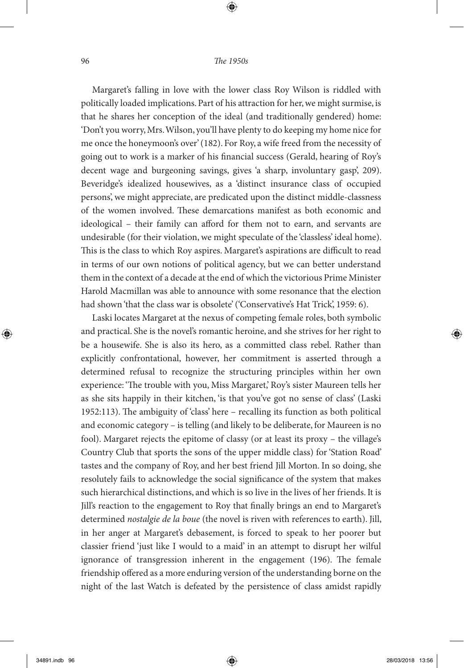⊕

Margaret's falling in love with the lower class Roy Wilson is riddled with politically loaded implications. Part of his attraction for her, we might surmise, is that he shares her conception of the ideal (and traditionally gendered) home: 'Don't you worry, Mrs. Wilson, you'll have plenty to do keeping my home nice for me once the honeymoon's over' (182). For Roy, a wife freed from the necessity of going out to work is a marker of his financial success (Gerald, hearing of Roy's decent wage and burgeoning savings, gives 'a sharp, involuntary gasp', 209). Beveridge's idealized housewives, as a 'distinct insurance class of occupied persons', we might appreciate, are predicated upon the distinct middle-classness of the women involved. These demarcations manifest as both economic and ideological – their family can afford for them not to earn, and servants are undesirable (for their violation, we might speculate of the 'classless' ideal home). This is the class to which Roy aspires. Margaret's aspirations are difficult to read in terms of our own notions of political agency, but we can better understand them in the context of a decade at the end of which the victorious Prime Minister Harold Macmillan was able to announce with some resonance that the election had shown 'that the class war is obsolete' ('Conservative's Hat Trick', 1959: 6).

Laski locates Margaret at the nexus of competing female roles, both symbolic and practical. She is the novel's romantic heroine, and she strives for her right to be a housewife. She is also its hero, as a committed class rebel. Rather than explicitly confrontational, however, her commitment is asserted through a determined refusal to recognize the structuring principles within her own experience: 'The trouble with you, Miss Margaret,' Roy's sister Maureen tells her as she sits happily in their kitchen, 'is that you've got no sense of class' (Laski 1952:113). The ambiguity of 'class' here – recalling its function as both political and economic category – is telling (and likely to be deliberate, for Maureen is no fool). Margaret rejects the epitome of classy (or at least its proxy – the village's Country Club that sports the sons of the upper middle class) for 'Station Road' tastes and the company of Roy, and her best friend Jill Morton. In so doing, she resolutely fails to acknowledge the social significance of the system that makes such hierarchical distinctions, and which is so live in the lives of her friends. It is Jill's reaction to the engagement to Roy that finally brings an end to Margaret's determined *nostalgie de la boue* (the novel is riven with references to earth). Jill, in her anger at Margaret's debasement, is forced to speak to her poorer but classier friend 'just like I would to a maid' in an attempt to disrupt her wilful ignorance of transgression inherent in the engagement (196). The female friendship offered as a more enduring version of the understanding borne on the night of the last Watch is defeated by the persistence of class amidst rapidly

◈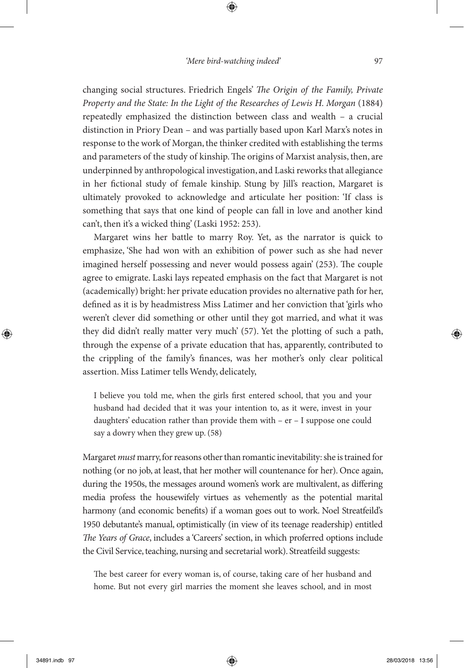⊕

changing social structures. Friedrich Engels' *The Origin of the Family, Private Property and the State: In the Light of the Researches of Lewis H. Morgan* (1884) repeatedly emphasized the distinction between class and wealth – a crucial distinction in Priory Dean – and was partially based upon Karl Marx's notes in response to the work of Morgan, the thinker credited with establishing the terms and parameters of the study of kinship. The origins of Marxist analysis, then, are underpinned by anthropological investigation, and Laski reworks that allegiance in her fictional study of female kinship. Stung by Jill's reaction, Margaret is ultimately provoked to acknowledge and articulate her position: 'If class is something that says that one kind of people can fall in love and another kind can't, then it's a wicked thing' (Laski 1952: 253).

Margaret wins her battle to marry Roy. Yet, as the narrator is quick to emphasize, 'She had won with an exhibition of power such as she had never imagined herself possessing and never would possess again' (253). The couple agree to emigrate. Laski lays repeated emphasis on the fact that Margaret is not (academically) bright: her private education provides no alternative path for her, defined as it is by headmistress Miss Latimer and her conviction that 'girls who weren't clever did something or other until they got married, and what it was they did didn't really matter very much' (57). Yet the plotting of such a path, through the expense of a private education that has, apparently, contributed to the crippling of the family's finances, was her mother's only clear political assertion. Miss Latimer tells Wendy, delicately,

I believe you told me, when the girls first entered school, that you and your husband had decided that it was your intention to, as it were, invest in your daughters' education rather than provide them with – er – I suppose one could say a dowry when they grew up. (58)

Margaret *must* marry, for reasons other than romantic inevitability: she is trained for nothing (or no job, at least, that her mother will countenance for her). Once again, during the 1950s, the messages around women's work are multivalent, as differing media profess the housewifely virtues as vehemently as the potential marital harmony (and economic benefits) if a woman goes out to work. Noel Streatfeild's 1950 debutante's manual, optimistically (in view of its teenage readership) entitled *The Years of Grace*, includes a 'Careers' section, in which proferred options include the Civil Service, teaching, nursing and secretarial work). Streatfeild suggests:

The best career for every woman is, of course, taking care of her husband and home. But not every girl marries the moment she leaves school, and in most

◈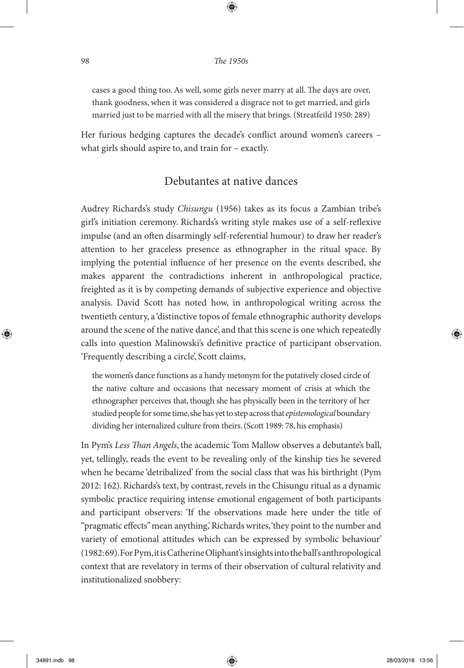⊕

cases a good thing too. As well, some girls never marry at all. The days are over, thank goodness, when it was considered a disgrace not to get married, and girls married just to be married with all the misery that brings. (Streatfeild 1950: 289)

Her furious hedging captures the decade's conflict around women's careers – what girls should aspire to, and train for – exactly.

## Debutantes at native dances

Audrey Richards's study *Chisungu* (1956) takes as its focus a Zambian tribe's girl's initiation ceremony. Richards's writing style makes use of a self-reflexive impulse (and an often disarmingly self-referential humour) to draw her reader's attention to her graceless presence as ethnographer in the ritual space. By implying the potential influence of her presence on the events described, she makes apparent the contradictions inherent in anthropological practice, freighted as it is by competing demands of subjective experience and objective analysis. David Scott has noted how, in anthropological writing across the twentieth century, a 'distinctive topos of female ethnographic authority develops around the scene of the native dance', and that this scene is one which repeatedly calls into question Malinowski's definitive practice of participant observation. 'Frequently describing a circle', Scott claims,

the women's dance functions as a handy metonym for the putatively closed circle of the native culture and occasions that necessary moment of crisis at which the ethnographer perceives that, though she has physically been in the territory of her studied people for some time, she has yet to step across that *epistemological* boundary dividing her internalized culture from theirs. (Scott 1989: 78, his emphasis)

In Pym's *Less Than Angels*, the academic Tom Mallow observes a debutante's ball, yet, tellingly, reads the event to be revealing only of the kinship ties he severed when he became 'detribalized' from the social class that was his birthright (Pym 2012: 162). Richards's text, by contrast, revels in the Chisungu ritual as a dynamic symbolic practice requiring intense emotional engagement of both participants and participant observers: 'If the observations made here under the title of "pragmatic effects" mean anything,' Richards writes, 'they point to the number and variety of emotional attitudes which can be expressed by symbolic behaviour' (1982: 69). For Pym, it is Catherine Oliphant's insights into the ball's anthropological context that are revelatory in terms of their observation of cultural relativity and institutionalized snobbery:

◈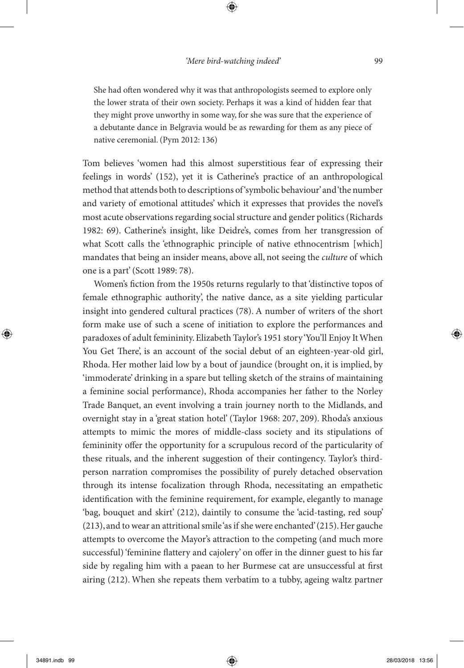She had often wondered why it was that anthropologists seemed to explore only the lower strata of their own society. Perhaps it was a kind of hidden fear that they might prove unworthy in some way, for she was sure that the experience of a debutante dance in Belgravia would be as rewarding for them as any piece of native ceremonial. (Pym 2012: 136)

Tom believes 'women had this almost superstitious fear of expressing their feelings in words' (152), yet it is Catherine's practice of an anthropological method that attends both to descriptions of 'symbolic behaviour' and 'the number and variety of emotional attitudes' which it expresses that provides the novel's most acute observations regarding social structure and gender politics (Richards 1982: 69). Catherine's insight, like Deidre's, comes from her transgression of what Scott calls the 'ethnographic principle of native ethnocentrism [which] mandates that being an insider means, above all, not seeing the *culture* of which one is a part' (Scott 1989: 78).

Women's fiction from the 1950s returns regularly to that 'distinctive topos of female ethnographic authority', the native dance, as a site yielding particular insight into gendered cultural practices (78). A number of writers of the short form make use of such a scene of initiation to explore the performances and paradoxes of adult femininity. Elizabeth Taylor's 1951 story 'You'll Enjoy It When You Get There', is an account of the social debut of an eighteen-year-old girl, Rhoda. Her mother laid low by a bout of jaundice (brought on, it is implied, by 'immoderate' drinking in a spare but telling sketch of the strains of maintaining a feminine social performance), Rhoda accompanies her father to the Norley Trade Banquet, an event involving a train journey north to the Midlands, and overnight stay in a 'great station hotel' (Taylor 1968: 207, 209). Rhoda's anxious attempts to mimic the mores of middle-class society and its stipulations of femininity offer the opportunity for a scrupulous record of the particularity of these rituals, and the inherent suggestion of their contingency. Taylor's thirdperson narration compromises the possibility of purely detached observation through its intense focalization through Rhoda, necessitating an empathetic identification with the feminine requirement, for example, elegantly to manage 'bag, bouquet and skirt' (212), daintily to consume the 'acid-tasting, red soup' (213), and to wear an attritional smile 'as if she were enchanted' (215). Her gauche attempts to overcome the Mayor's attraction to the competing (and much more successful) 'feminine flattery and cajolery' on offer in the dinner guest to his far side by regaling him with a paean to her Burmese cat are unsuccessful at first airing (212). When she repeats them verbatim to a tubby, ageing waltz partner

◈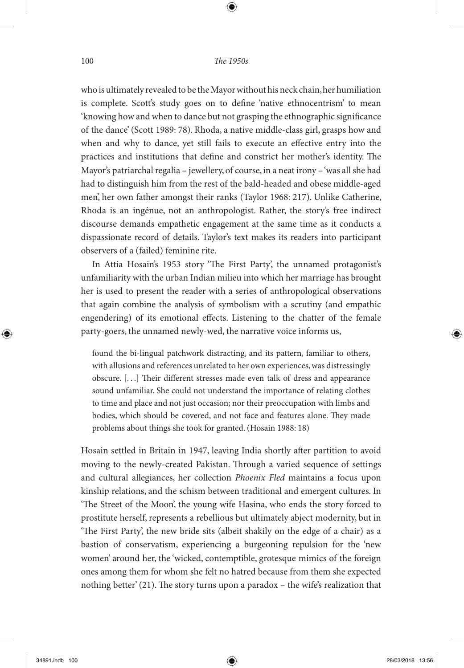⊕

who is ultimately revealed to be the Mayor without his neck chain, her humiliation is complete. Scott's study goes on to define 'native ethnocentrism' to mean 'knowing how and when to dance but not grasping the ethnographic significance of the dance' (Scott 1989: 78). Rhoda, a native middle-class girl, grasps how and when and why to dance, yet still fails to execute an effective entry into the practices and institutions that define and constrict her mother's identity. The Mayor's patriarchal regalia – jewellery, of course, in a neat irony – 'was all she had had to distinguish him from the rest of the bald-headed and obese middle-aged men', her own father amongst their ranks (Taylor 1968: 217). Unlike Catherine, Rhoda is an ingénue, not an anthropologist. Rather, the story's free indirect discourse demands empathetic engagement at the same time as it conducts a dispassionate record of details. Taylor's text makes its readers into participant observers of a (failed) feminine rite.

In Attia Hosain's 1953 story 'The First Party', the unnamed protagonist's unfamiliarity with the urban Indian milieu into which her marriage has brought her is used to present the reader with a series of anthropological observations that again combine the analysis of symbolism with a scrutiny (and empathic engendering) of its emotional effects. Listening to the chatter of the female party-goers, the unnamed newly-wed, the narrative voice informs us,

found the bi-lingual patchwork distracting, and its pattern, familiar to others, with allusions and references unrelated to her own experiences, was distressingly obscure. [. . .] Their different stresses made even talk of dress and appearance sound unfamiliar. She could not understand the importance of relating clothes to time and place and not just occasion; nor their preoccupation with limbs and bodies, which should be covered, and not face and features alone. They made problems about things she took for granted. (Hosain 1988: 18)

Hosain settled in Britain in 1947, leaving India shortly after partition to avoid moving to the newly-created Pakistan. Through a varied sequence of settings and cultural allegiances, her collection *Phoenix Fled* maintains a focus upon kinship relations, and the schism between traditional and emergent cultures. In 'The Street of the Moon', the young wife Hasina, who ends the story forced to prostitute herself, represents a rebellious but ultimately abject modernity, but in 'The First Party', the new bride sits (albeit shakily on the edge of a chair) as a bastion of conservatism, experiencing a burgeoning repulsion for the 'new women' around her, the 'wicked, contemptible, grotesque mimics of the foreign ones among them for whom she felt no hatred because from them she expected nothing better' (21). The story turns upon a paradox – the wife's realization that

◈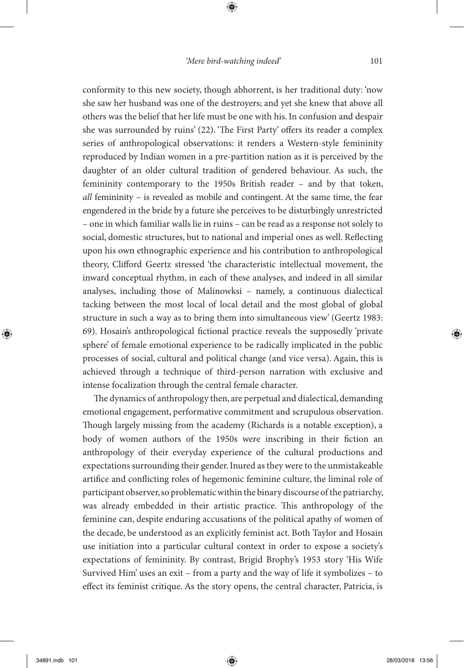⊕

conformity to this new society, though abhorrent, is her traditional duty: 'now she saw her husband was one of the destroyers; and yet she knew that above all others was the belief that her life must be one with his. In confusion and despair she was surrounded by ruins' (22). 'The First Party' offers its reader a complex series of anthropological observations: it renders a Western-style femininity reproduced by Indian women in a pre-partition nation as it is perceived by the daughter of an older cultural tradition of gendered behaviour. As such, the femininity contemporary to the 1950s British reader – and by that token, *all* femininity – is revealed as mobile and contingent. At the same time, the fear engendered in the bride by a future she perceives to be disturbingly unrestricted – one in which familiar walls lie in ruins – can be read as a response not solely to social, domestic structures, but to national and imperial ones as well. Reflecting upon his own ethnographic experience and his contribution to anthropological theory, Clifford Geertz stressed 'the characteristic intellectual movement, the inward conceptual rhythm, in each of these analyses, and indeed in all similar analyses, including those of Malinowksi – namely, a continuous dialectical tacking between the most local of local detail and the most global of global structure in such a way as to bring them into simultaneous view' (Geertz 1983: 69). Hosain's anthropological fictional practice reveals the supposedly 'private sphere' of female emotional experience to be radically implicated in the public processes of social, cultural and political change (and vice versa). Again, this is achieved through a technique of third-person narration with exclusive and intense focalization through the central female character.

The dynamics of anthropology then, are perpetual and dialectical, demanding emotional engagement, performative commitment and scrupulous observation. Though largely missing from the academy (Richards is a notable exception), a body of women authors of the 1950s were inscribing in their fiction an anthropology of their everyday experience of the cultural productions and expectations surrounding their gender. Inured as they were to the unmistakeable artifice and conflicting roles of hegemonic feminine culture, the liminal role of participant observer, so problematic within the binary discourse of the patriarchy, was already embedded in their artistic practice. This anthropology of the feminine can, despite enduring accusations of the political apathy of women of the decade, be understood as an explicitly feminist act. Both Taylor and Hosain use initiation into a particular cultural context in order to expose a society's expectations of femininity. By contrast, Brigid Brophy's 1953 story 'His Wife Survived Him' uses an exit – from a party and the way of life it symbolizes – to effect its feminist critique. As the story opens, the central character, Patricia, is

◈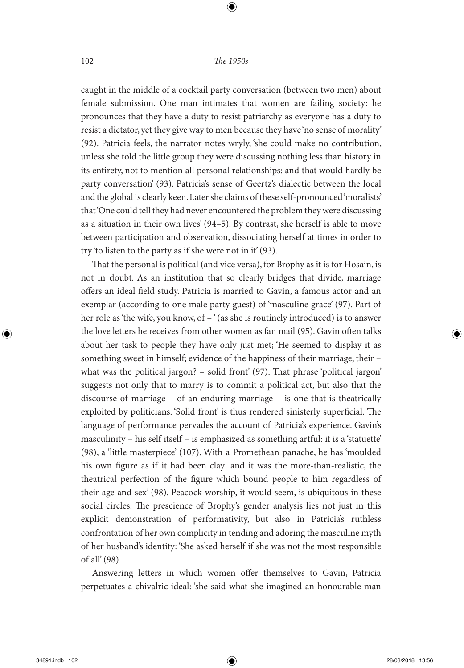caught in the middle of a cocktail party conversation (between two men) about female submission. One man intimates that women are failing society: he pronounces that they have a duty to resist patriarchy as everyone has a duty to resist a dictator, yet they give way to men because they have 'no sense of morality' (92). Patricia feels, the narrator notes wryly, 'she could make no contribution, unless she told the little group they were discussing nothing less than history in its entirety, not to mention all personal relationships: and that would hardly be party conversation' (93). Patricia's sense of Geertz's dialectic between the local and the global is clearly keen. Later she claims of these self-pronounced 'moralists' that 'One could tell they had never encountered the problem they were discussing as a situation in their own lives' (94–5). By contrast, she herself is able to move between participation and observation, dissociating herself at times in order to try 'to listen to the party as if she were not in it' (93).

That the personal is political (and vice versa), for Brophy as it is for Hosain, is not in doubt. As an institution that so clearly bridges that divide, marriage offers an ideal field study. Patricia is married to Gavin, a famous actor and an exemplar (according to one male party guest) of 'masculine grace' (97). Part of her role as 'the wife, you know, of – ' (as she is routinely introduced) is to answer the love letters he receives from other women as fan mail (95). Gavin often talks about her task to people they have only just met; 'He seemed to display it as something sweet in himself; evidence of the happiness of their marriage, their – what was the political jargon? – solid front' (97). That phrase 'political jargon' suggests not only that to marry is to commit a political act, but also that the discourse of marriage – of an enduring marriage – is one that is theatrically exploited by politicians. 'Solid front' is thus rendered sinisterly superficial. The language of performance pervades the account of Patricia's experience. Gavin's masculinity – his self itself – is emphasized as something artful: it is a 'statuette' (98), a 'little masterpiece' (107). With a Promethean panache, he has 'moulded his own figure as if it had been clay: and it was the more-than-realistic, the theatrical perfection of the figure which bound people to him regardless of their age and sex' (98). Peacock worship, it would seem, is ubiquitous in these social circles. The prescience of Brophy's gender analysis lies not just in this explicit demonstration of performativity, but also in Patricia's ruthless confrontation of her own complicity in tending and adoring the masculine myth of her husband's identity: 'She asked herself if she was not the most responsible of all' (98).

Answering letters in which women offer themselves to Gavin, Patricia perpetuates a chivalric ideal: 'she said what she imagined an honourable man

◈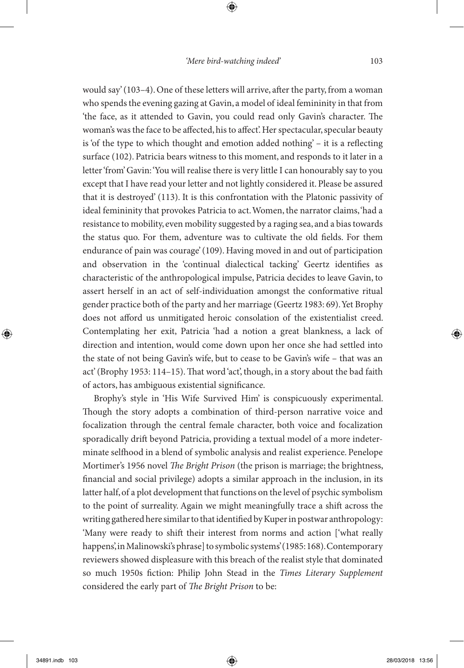would say' (103–4). One of these letters will arrive, after the party, from a woman who spends the evening gazing at Gavin, a model of ideal femininity in that from 'the face, as it attended to Gavin, you could read only Gavin's character. The woman's was the face to be affected, his to affect'. Her spectacular, specular beauty is 'of the type to which thought and emotion added nothing' – it is a reflecting surface (102). Patricia bears witness to this moment, and responds to it later in a letter 'from' Gavin: 'You will realise there is very little I can honourably say to you except that I have read your letter and not lightly considered it. Please be assured that it is destroyed' (113). It is this confrontation with the Platonic passivity of ideal femininity that provokes Patricia to act. Women, the narrator claims, 'had a resistance to mobility, even mobility suggested by a raging sea, and a bias towards the status quo. For them, adventure was to cultivate the old fields. For them endurance of pain was courage' (109). Having moved in and out of participation and observation in the 'continual dialectical tacking' Geertz identifies as characteristic of the anthropological impulse, Patricia decides to leave Gavin, to assert herself in an act of self-individuation amongst the conformative ritual gender practice both of the party and her marriage (Geertz 1983: 69). Yet Brophy does not afford us unmitigated heroic consolation of the existentialist creed. Contemplating her exit, Patricia 'had a notion a great blankness, a lack of direction and intention, would come down upon her once she had settled into the state of not being Gavin's wife, but to cease to be Gavin's wife – that was an act' (Brophy 1953: 114–15). That word 'act', though, in a story about the bad faith of actors, has ambiguous existential significance.

Brophy's style in 'His Wife Survived Him' is conspicuously experimental. Though the story adopts a combination of third-person narrative voice and focalization through the central female character, both voice and focalization sporadically drift beyond Patricia, providing a textual model of a more indeterminate selfhood in a blend of symbolic analysis and realist experience. Penelope Mortimer's 1956 novel *The Bright Prison* (the prison is marriage; the brightness, financial and social privilege) adopts a similar approach in the inclusion, in its latter half, of a plot development that functions on the level of psychic symbolism to the point of surreality. Again we might meaningfully trace a shift across the writing gathered here similar to that identified by Kuper in postwar anthropology: 'Many were ready to shift their interest from norms and action ['what really happens', in Malinowski's phrase] to symbolic systems' (1985: 168). Contemporary reviewers showed displeasure with this breach of the realist style that dominated so much 1950s fiction: Philip John Stead in the *Times Literary Supplement* considered the early part of *The Bright Prison* to be:

◈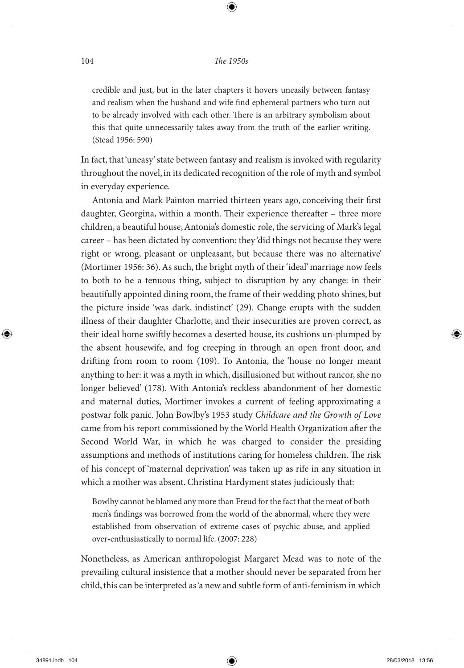⊕

credible and just, but in the later chapters it hovers uneasily between fantasy and realism when the husband and wife find ephemeral partners who turn out to be already involved with each other. There is an arbitrary symbolism about this that quite unnecessarily takes away from the truth of the earlier writing. (Stead 1956: 590)

In fact, that 'uneasy' state between fantasy and realism is invoked with regularity throughout the novel, in its dedicated recognition of the role of myth and symbol in everyday experience.

Antonia and Mark Painton married thirteen years ago, conceiving their first daughter, Georgina, within a month. Their experience thereafter – three more children, a beautiful house, Antonia's domestic role, the servicing of Mark's legal career – has been dictated by convention: they 'did things not because they were right or wrong, pleasant or unpleasant, but because there was no alternative' (Mortimer 1956: 36). As such, the bright myth of their 'ideal' marriage now feels to both to be a tenuous thing, subject to disruption by any change: in their beautifully appointed dining room, the frame of their wedding photo shines, but the picture inside 'was dark, indistinct' (29). Change erupts with the sudden illness of their daughter Charlotte, and their insecurities are proven correct, as their ideal home swiftly becomes a deserted house, its cushions un-plumped by the absent housewife, and fog creeping in through an open front door, and drifting from room to room (109). To Antonia, the 'house no longer meant anything to her: it was a myth in which, disillusioned but without rancor, she no longer believed' (178). With Antonia's reckless abandonment of her domestic and maternal duties, Mortimer invokes a current of feeling approximating a postwar folk panic. John Bowlby's 1953 study *Childcare and the Growth of Love* came from his report commissioned by the World Health Organization after the Second World War, in which he was charged to consider the presiding assumptions and methods of institutions caring for homeless children. The risk of his concept of 'maternal deprivation' was taken up as rife in any situation in which a mother was absent. Christina Hardyment states judiciously that:

Bowlby cannot be blamed any more than Freud for the fact that the meat of both men's findings was borrowed from the world of the abnormal, where they were established from observation of extreme cases of psychic abuse, and applied over-enthusiastically to normal life. (2007: 228)

Nonetheless, as American anthropologist Margaret Mead was to note of the prevailing cultural insistence that a mother should never be separated from her child, this can be interpreted as 'a new and subtle form of anti-feminism in which

◈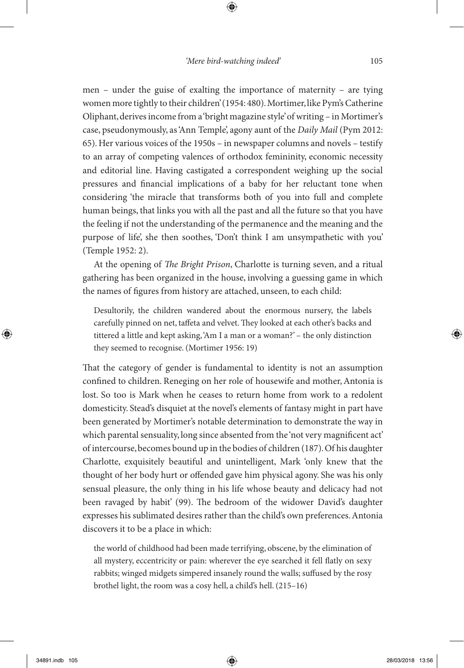men – under the guise of exalting the importance of maternity – are tying women more tightly to their children' (1954: 480). Mortimer, like Pym's Catherine Oliphant, derives income from a 'bright magazine style' of writing – in Mortimer's case, pseudonymously, as 'Ann Temple', agony aunt of the *Daily Mail* (Pym 2012: 65). Her various voices of the 1950s – in newspaper columns and novels – testify to an array of competing valences of orthodox femininity, economic necessity and editorial line. Having castigated a correspondent weighing up the social pressures and financial implications of a baby for her reluctant tone when considering 'the miracle that transforms both of you into full and complete human beings, that links you with all the past and all the future so that you have the feeling if not the understanding of the permanence and the meaning and the purpose of life', she then soothes, 'Don't think I am unsympathetic with you' (Temple 1952: 2).

At the opening of *The Bright Prison*, Charlotte is turning seven, and a ritual gathering has been organized in the house, involving a guessing game in which the names of figures from history are attached, unseen, to each child:

Desultorily, the children wandered about the enormous nursery, the labels carefully pinned on net, taffeta and velvet. They looked at each other's backs and tittered a little and kept asking, 'Am I a man or a woman?' – the only distinction they seemed to recognise. (Mortimer 1956: 19)

That the category of gender is fundamental to identity is not an assumption confined to children. Reneging on her role of housewife and mother, Antonia is lost. So too is Mark when he ceases to return home from work to a redolent domesticity. Stead's disquiet at the novel's elements of fantasy might in part have been generated by Mortimer's notable determination to demonstrate the way in which parental sensuality, long since absented from the 'not very magnificent act' of intercourse, becomes bound up in the bodies of children (187). Of his daughter Charlotte, exquisitely beautiful and unintelligent, Mark 'only knew that the thought of her body hurt or offended gave him physical agony. She was his only sensual pleasure, the only thing in his life whose beauty and delicacy had not been ravaged by habit' (99). The bedroom of the widower David's daughter expresses his sublimated desires rather than the child's own preferences. Antonia discovers it to be a place in which:

the world of childhood had been made terrifying, obscene, by the elimination of all mystery, eccentricity or pain: wherever the eye searched it fell flatly on sexy rabbits; winged midgets simpered insanely round the walls; suffused by the rosy brothel light, the room was a cosy hell, a child's hell. (215–16)

◈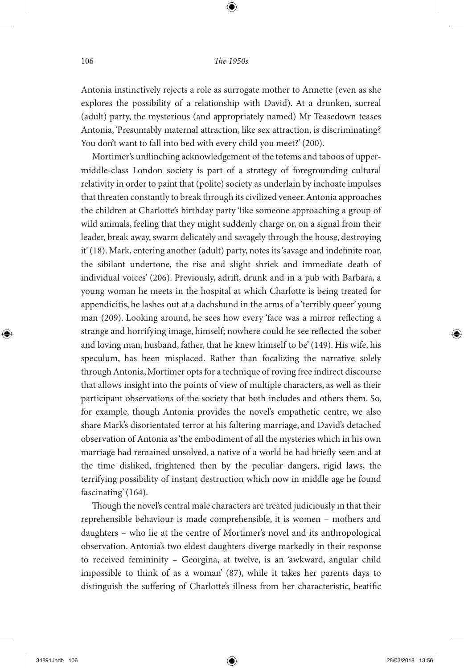⊕

Antonia instinctively rejects a role as surrogate mother to Annette (even as she explores the possibility of a relationship with David). At a drunken, surreal (adult) party, the mysterious (and appropriately named) Mr Teasedown teases Antonia, 'Presumably maternal attraction, like sex attraction, is discriminating? You don't want to fall into bed with every child you meet?' (200).

Mortimer's unflinching acknowledgement of the totems and taboos of uppermiddle-class London society is part of a strategy of foregrounding cultural relativity in order to paint that (polite) society as underlain by inchoate impulses that threaten constantly to break through its civilized veneer. Antonia approaches the children at Charlotte's birthday party 'like someone approaching a group of wild animals, feeling that they might suddenly charge or, on a signal from their leader, break away, swarm delicately and savagely through the house, destroying it' (18). Mark, entering another (adult) party, notes its 'savage and indefinite roar, the sibilant undertone, the rise and slight shriek and immediate death of individual voices' (206). Previously, adrift, drunk and in a pub with Barbara, a young woman he meets in the hospital at which Charlotte is being treated for appendicitis, he lashes out at a dachshund in the arms of a 'terribly queer' young man (209). Looking around, he sees how every 'face was a mirror reflecting a strange and horrifying image, himself; nowhere could he see reflected the sober and loving man, husband, father, that he knew himself to be' (149). His wife, his speculum, has been misplaced. Rather than focalizing the narrative solely through Antonia, Mortimer opts for a technique of roving free indirect discourse that allows insight into the points of view of multiple characters, as well as their participant observations of the society that both includes and others them. So, for example, though Antonia provides the novel's empathetic centre, we also share Mark's disorientated terror at his faltering marriage, and David's detached observation of Antonia as 'the embodiment of all the mysteries which in his own marriage had remained unsolved, a native of a world he had briefly seen and at the time disliked, frightened then by the peculiar dangers, rigid laws, the terrifying possibility of instant destruction which now in middle age he found fascinating' (164).

Though the novel's central male characters are treated judiciously in that their reprehensible behaviour is made comprehensible, it is women – mothers and daughters – who lie at the centre of Mortimer's novel and its anthropological observation. Antonia's two eldest daughters diverge markedly in their response to received femininity – Georgina, at twelve, is an 'awkward, angular child impossible to think of as a woman' (87), while it takes her parents days to distinguish the suffering of Charlotte's illness from her characteristic, beatific

◈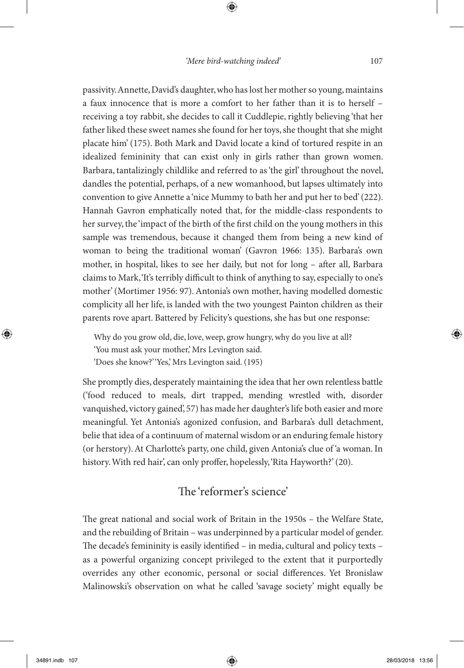⊕

passivity. Annette, David's daughter, who has lost her mother so young, maintains a faux innocence that is more a comfort to her father than it is to herself – receiving a toy rabbit, she decides to call it Cuddlepie, rightly believing 'that her father liked these sweet names she found for her toys, she thought that she might placate him' (175). Both Mark and David locate a kind of tortured respite in an idealized femininity that can exist only in girls rather than grown women. Barbara, tantalizingly childlike and referred to as 'the girl' throughout the novel, dandles the potential, perhaps, of a new womanhood, but lapses ultimately into convention to give Annette a 'nice Mummy to bath her and put her to bed' (222). Hannah Gavron emphatically noted that, for the middle-class respondents to her survey, the 'impact of the birth of the first child on the young mothers in this sample was tremendous, because it changed them from being a new kind of woman to being the traditional woman' (Gavron 1966: 135). Barbara's own mother, in hospital, likes to see her daily, but not for long – after all, Barbara claims to Mark, 'It's terribly difficult to think of anything to say, especially to one's mother' (Mortimer 1956: 97). Antonia's own mother, having modelled domestic complicity all her life, is landed with the two youngest Painton children as their parents rove apart. Battered by Felicity's questions, she has but one response:

Why do you grow old, die, love, weep, grow hungry, why do you live at all? 'You must ask your mother,' Mrs Levington said.

'Does she know?' 'Yes,' Mrs Levington said. (195)

She promptly dies, desperately maintaining the idea that her own relentless battle ('food reduced to meals, dirt trapped, mending wrestled with, disorder vanquished, victory gained', 57) has made her daughter's life both easier and more meaningful. Yet Antonia's agonized confusion, and Barbara's dull detachment, belie that idea of a continuum of maternal wisdom or an enduring female history (or herstory). At Charlotte's party, one child, given Antonia's clue of 'a woman. In history. With red hair', can only proffer, hopelessly, 'Rita Hayworth?' (20).

## The 'reformer's science'

The great national and social work of Britain in the 1950s – the Welfare State, and the rebuilding of Britain – was underpinned by a particular model of gender. The decade's femininity is easily identified – in media, cultural and policy texts – as a powerful organizing concept privileged to the extent that it purportedly overrides any other economic, personal or social differences. Yet Bronislaw Malinowski's observation on what he called 'savage society' might equally be

◈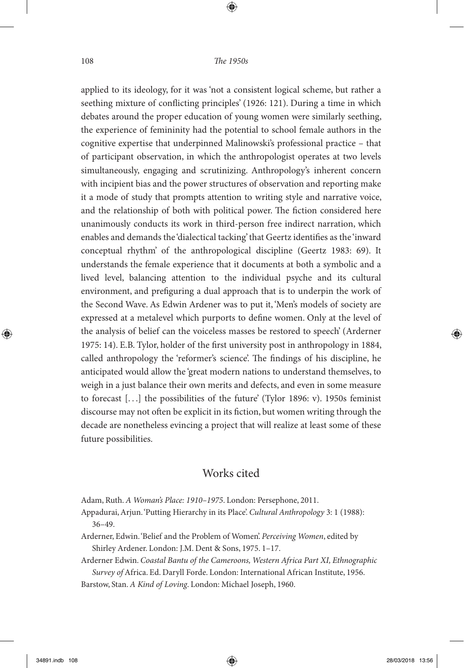⊕

applied to its ideology, for it was 'not a consistent logical scheme, but rather a seething mixture of conflicting principles' (1926: 121). During a time in which debates around the proper education of young women were similarly seething, the experience of femininity had the potential to school female authors in the cognitive expertise that underpinned Malinowski's professional practice – that of participant observation, in which the anthropologist operates at two levels simultaneously, engaging and scrutinizing. Anthropology's inherent concern with incipient bias and the power structures of observation and reporting make it a mode of study that prompts attention to writing style and narrative voice, and the relationship of both with political power. The fiction considered here unanimously conducts its work in third-person free indirect narration, which enables and demands the 'dialectical tacking' that Geertz identifies as the 'inward conceptual rhythm' of the anthropological discipline (Geertz 1983: 69). It understands the female experience that it documents at both a symbolic and a lived level, balancing attention to the individual psyche and its cultural environment, and prefiguring a dual approach that is to underpin the work of the Second Wave. As Edwin Ardener was to put it, 'Men's models of society are expressed at a metalevel which purports to define women. Only at the level of the analysis of belief can the voiceless masses be restored to speech' (Arderner 1975: 14). E.B. Tylor, holder of the first university post in anthropology in 1884, called anthropology the 'reformer's science'. The findings of his discipline, he anticipated would allow the 'great modern nations to understand themselves, to weigh in a just balance their own merits and defects, and even in some measure to forecast [. . .] the possibilities of the future' (Tylor 1896: v). 1950s feminist discourse may not often be explicit in its fiction, but women writing through the decade are nonetheless evincing a project that will realize at least some of these future possibilities.

### Works cited

Adam, Ruth. *A Woman's Place: 1910–1975*. London: Persephone, 2011.

Appadurai, Arjun. 'Putting Hierarchy in its Place'. *Cultural Anthropology* 3: 1 (1988): 36–49.

Arderner, Edwin. 'Belief and the Problem of Women'. *Perceiving Women*, edited by Shirley Ardener. London: J.M. Dent & Sons, 1975. 1–17.

Arderner Edwin. *Coastal Bantu of the Cameroons, Western Africa Part XI, Ethnographic Survey of* Africa. Ed. Daryll Forde. London: International African Institute, 1956.

Barstow, Stan. *A Kind of Loving*. London: Michael Joseph, 1960.

◈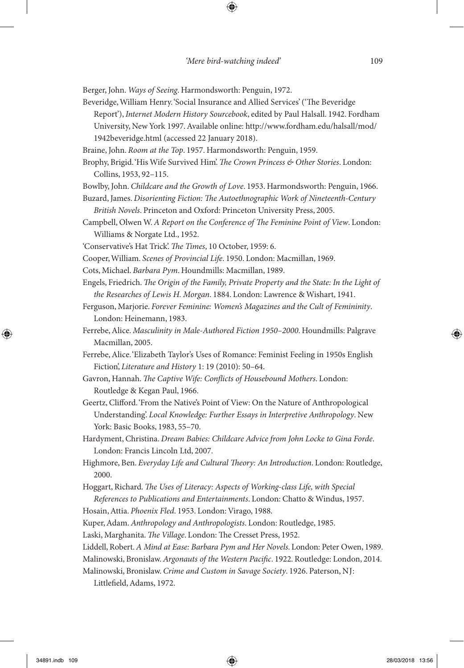Berger, John. *Ways of Seeing*. Harmondsworth: Penguin, 1972.

- Beveridge, William Henry. 'Social Insurance and Allied Services' ('The Beveridge Report'), *Internet Modern History Sourcebook*, edited by Paul Halsall. 1942. Fordham University, New York 1997. Available online: http://www.fordham.edu/halsall/mod/ 1942beveridge.html (accessed 22 January 2018).
- Braine, John. *Room at the Top*. 1957. Harmondsworth: Penguin, 1959.
- Brophy, Brigid. 'His Wife Survived Him'. *The Crown Princess & Other Stories*. London: Collins, 1953, 92–115.
- Bowlby, John. *Childcare and the Growth of Love*. 1953. Harmondsworth: Penguin, 1966.
- Buzard, James. *Disorienting Fiction: The Autoethnographic Work of Nineteenth-Century British Novels*. Princeton and Oxford: Princeton University Press, 2005.
- Campbell, Olwen W. *A Report on the Conference of The Feminine Point of View*. London: Williams & Norgate Ltd., 1952.
- 'Conservative's Hat Trick'. *The Times*, 10 October, 1959: 6.
- Cooper, William. *Scenes of Provincial Life*. 1950. London: Macmillan, 1969.
- Cots, Michael. *Barbara Pym*. Houndmills: Macmillan, 1989.
- Engels, Friedrich. *The Origin of the Family, Private Property and the State: In the Light of the Researches of Lewis H. Morgan*. 1884. London: Lawrence & Wishart, 1941.
- Ferguson, Marjorie. *Forever Feminine: Women's Magazines and the Cult of Femininity*. London: Heinemann, 1983.
- Ferrebe, Alice. *Masculinity in Male-Authored Fiction 1950–2000*. Houndmills: Palgrave Macmillan, 2005.
- Ferrebe, Alice. 'Elizabeth Taylor's Uses of Romance: Feminist Feeling in 1950s English Fiction', *Literature and History* 1: 19 (2010): 50–64.
- Gavron, Hannah. *The Captive Wife: Conflicts of Housebound Mothers*. London: Routledge & Kegan Paul, 1966.
- Geertz, Clifford. 'From the Native's Point of View: On the Nature of Anthropological Understanding'. *Local Knowledge: Further Essays in Interpretive Anthropology*. New York: Basic Books, 1983, 55–70.
- Hardyment, Christina. *Dream Babies: Childcare Advice from John Locke to Gina Forde*. London: Francis Lincoln Ltd, 2007.
- Highmore, Ben. *Everyday Life and Cultural Theory: An Introduction*. London: Routledge, 2000.
- Hoggart, Richard. *The Uses of Literacy: Aspects of Working-class Life, with Special References to Publications and Entertainments*. London: Chatto & Windus, 1957.
- Hosain, Attia. *Phoenix Fled*. 1953. London: Virago, 1988.
- Kuper, Adam. *Anthropology and Anthropologists*. London: Routledge, 1985.
- Laski, Marghanita. *The Village*. London: The Cresset Press, 1952.
- Liddell, Robert. *A Mind at Ease: Barbara Pym and Her Novels*. London: Peter Owen, 1989.
- Malinowski, Bronislaw. *Argonauts of the Western Pacific*. 1922. Routledge: London, 2014.
- Malinowski, Bronislaw. *Crime and Custom in Savage Society*. 1926. Paterson, NJ:
	- Littlefield, Adams, 1972.

◈